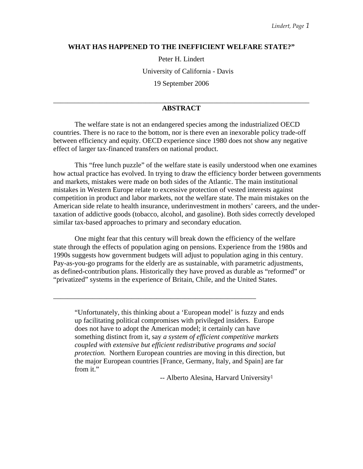#### **WHAT HAS HAPPENED TO THE INEFFICIENT WELFARE STATE?"**

Peter H. Lindert University of California - Davis 19 September 2006

# \_\_\_\_\_\_\_\_\_\_\_\_\_\_\_\_\_\_\_\_\_\_\_\_\_\_\_\_\_\_\_\_\_\_\_\_\_\_\_\_\_\_\_\_\_\_\_\_\_\_\_\_\_\_\_\_\_\_\_\_\_\_\_\_\_\_\_\_\_\_\_\_ **ABSTRACT**

 The welfare state is not an endangered species among the industrialized OECD countries. There is no race to the bottom, nor is there even an inexorable policy trade-off between efficiency and equity. OECD experience since 1980 does not show any negative effect of larger tax-financed transfers on national product.

This "free lunch puzzle" of the welfare state is easily understood when one examines how actual practice has evolved. In trying to draw the efficiency border between governments and markets, mistakes were made on both sides of the Atlantic. The main institutional mistakes in Western Europe relate to excessive protection of vested interests against competition in product and labor markets, not the welfare state. The main mistakes on the American side relate to health insurance, underinvestment in mothers' careers, and the undertaxation of addictive goods (tobacco, alcohol, and gasoline). Both sides correctly developed similar tax-based approaches to primary and secondary education.

One might fear that this century will break down the efficiency of the welfare state through the effects of population aging on pensions. Experience from the 1980s and 1990s suggests how government budgets will adjust to population aging in this century. Pay-as-you-go programs for the elderly are as sustainable, with parametric adjustments, as defined-contribution plans. Historically they have proved as durable as "reformed" or "privatized" systems in the experience of Britain, Chile, and the United States.

\_\_\_\_\_\_\_\_\_\_\_\_\_\_\_\_\_\_\_\_\_\_\_\_\_\_\_\_\_\_\_\_\_\_\_\_\_\_\_\_\_\_\_\_\_\_\_\_\_\_\_\_\_\_\_\_\_

"Unfortunately, this thinking about a 'European model' is fuzzy and ends up facilitating political compromises with privileged insiders. Europe does not have to adopt the American model; it certainly can have something distinct from it, say *a system of efficient competitive markets coupled with extensive but efficient redistributive programs and social protection.* Northern European countries are moving in this direction, but the major European countries [France, Germany, Italy, and Spain] are far from it."

-- Alberto Alesina, Harvard University1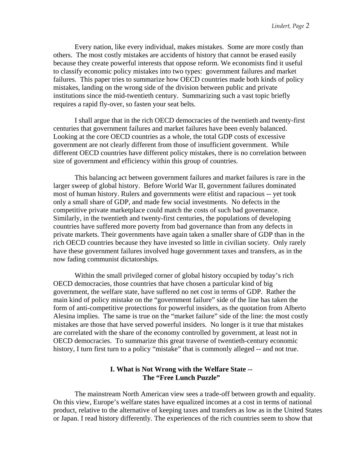Every nation, like every individual, makes mistakes. Some are more costly than others. The most costly mistakes are accidents of history that cannot be erased easily because they create powerful interests that oppose reform. We economists find it useful to classify economic policy mistakes into two types: government failures and market failures. This paper tries to summarize how OECD countries made both kinds of policy mistakes, landing on the wrong side of the division between public and private institutions since the mid-twentieth century. Summarizing such a vast topic briefly requires a rapid fly-over, so fasten your seat belts.

 I shall argue that in the rich OECD democracies of the twentieth and twenty-first centuries that government failures and market failures have been evenly balanced. Looking at the core OECD countries as a whole, the total GDP costs of excessive government are not clearly different from those of insufficient government. While different OECD countries have different policy mistakes, there is no correlation between size of government and efficiency within this group of countries.

 This balancing act between government failures and market failures is rare in the larger sweep of global history. Before World War II, government failures dominated most of human history. Rulers and governments were elitist and rapacious -- yet took only a small share of GDP, and made few social investments. No defects in the competitive private marketplace could match the costs of such bad governance. Similarly, in the twentieth and twenty-first centuries, the populations of developing countries have suffered more poverty from bad governance than from any defects in private markets. Their governments have again taken a smaller share of GDP than in the rich OECD countries because they have invested so little in civilian society. Only rarely have these government failures involved huge government taxes and transfers, as in the now fading communist dictatorships.

 Within the small privileged corner of global history occupied by today's rich OECD democracies, those countries that have chosen a particular kind of big government, the welfare state, have suffered no net cost in terms of GDP. Rather the main kind of policy mistake on the "government failure" side of the line has taken the form of anti-competitive protections for powerful insiders, as the quotation from Alberto Alesina implies. The same is true on the "market failure" side of the line: the most costly mistakes are those that have served powerful insiders. No longer is it true that mistakes are correlated with the share of the economy controlled by government, at least not in OECD democracies. To summarize this great traverse of twentieth-century economic history, I turn first turn to a policy "mistake" that is commonly alleged -- and not true.

## **I. What is Not Wrong with the Welfare State -- The "Free Lunch Puzzle"**

The mainstream North American view sees a trade-off between growth and equality. On this view, Europe's welfare states have equalized incomes at a cost in terms of national product, relative to the alternative of keeping taxes and transfers as low as in the United States or Japan. I read history differently. The experiences of the rich countries seem to show that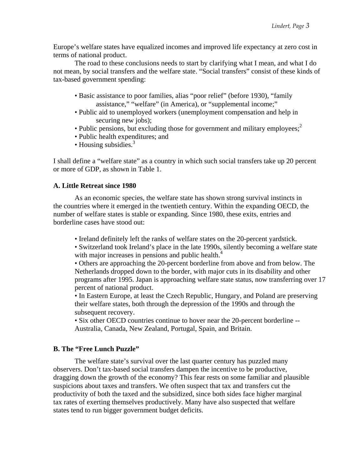Europe's welfare states have equalized incomes and improved life expectancy at zero cost in terms of national product.

 The road to these conclusions needs to start by clarifying what I mean, and what I do not mean, by social transfers and the welfare state. "Social transfers" consist of these kinds of tax-based government spending:

- Basic assistance to poor families, alias "poor relief" (before 1930), "family assistance," "welfare" (in America), or "supplemental income;"
- Public aid to unemployed workers (unemployment compensation and help in securing new jobs);
- Public pensions, but excluding those for government and military employees; $\hat{z}$
- Public health expenditures; and
- Housing subsidies. $3$

I shall define a "welfare state" as a country in which such social transfers take up 20 percent or more of GDP, as shown in Table 1.

# **A. Little Retreat since 1980**

 As an economic species, the welfare state has shown strong survival instincts in the countries where it emerged in the twentieth century. Within the expanding OECD, the number of welfare states is stable or expanding. Since 1980, these exits, entries and borderline cases have stood out:

- Ireland definitely left the ranks of welfare states on the 20-percent yardstick.
- Switzerland took Ireland's place in the late 1990s, silently becoming a welfare state with major increases in pensions and public health. $4$

 • Others are approaching the 20-percent borderline from above and from below. The Netherlands dropped down to the border, with major cuts in its disability and other programs after 1995. Japan is approaching welfare state status, now transferring over 17 percent of national product.

 • In Eastern Europe, at least the Czech Republic, Hungary, and Poland are preserving their welfare states, both through the depression of the 1990s and through the subsequent recovery.

 • Six other OECD countries continue to hover near the 20-percent borderline -- Australia, Canada, New Zealand, Portugal, Spain, and Britain.

# **B. The "Free Lunch Puzzle"**

 The welfare state's survival over the last quarter century has puzzled many observers. Don't tax-based social transfers dampen the incentive to be productive, dragging down the growth of the economy? This fear rests on some familiar and plausible suspicions about taxes and transfers. We often suspect that tax and transfers cut the productivity of both the taxed and the subsidized, since both sides face higher marginal tax rates of exerting themselves productively. Many have also suspected that welfare states tend to run bigger government budget deficits.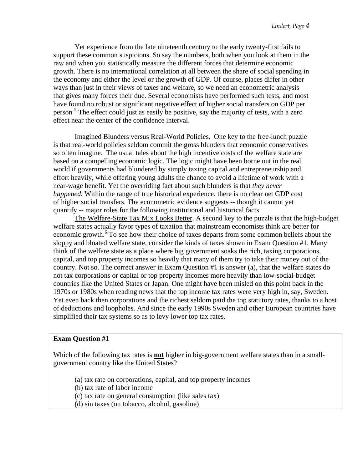Yet experience from the late nineteenth century to the early twenty-first fails to support these common suspicions. So say the numbers, both when you look at them in the raw and when you statistically measure the different forces that determine economic growth. There is no international correlation at all between the share of social spending in the economy and either the level or the growth of GDP. Of course, places differ in other ways than just in their views of taxes and welfare, so we need an econometric analysis that gives many forces their due. Several economists have performed such tests, and most have found no robust or significant negative effect of higher social transfers on GDP per person <sup>5</sup> The effect could just as easily be positive, say the majority of tests, with a zero effect near the center of the confidence interval.

Imagined Blunders versus Real-World Policies. One key to the free-lunch puzzle is that real-world policies seldom commit the gross blunders that economic conservatives so often imagine. The usual tales about the high incentive costs of the welfare state are based on a compelling economic logic. The logic might have been borne out in the real world if governments had blundered by simply taxing capital and entrepreneurship and effort heavily, while offering young adults the chance to avoid a lifetime of work with a near-wage benefit. Yet the overriding fact about such blunders is that *they never happened.* Within the range of true historical experience, there is no clear net GDP cost of higher social transfers. The econometric evidence suggests -- though it cannot yet quantify -- major roles for the following institutional and historical facts.

The Welfare-State Tax Mix Looks Better. A second key to the puzzle is that the high-budget welfare states actually favor types of taxation that mainstream economists think are better for economic growth.<sup>6</sup> To see how their choice of taxes departs from some common beliefs about the sloppy and bloated welfare state, consider the kinds of taxes shown in Exam Question #1. Many think of the welfare state as a place where big government soaks the rich, taxing corporations, capital, and top property incomes so heavily that many of them try to take their money out of the country. Not so. The correct answer in Exam Question #1 is answer (a), that the welfare states do not tax corporations or capital or top property incomes more heavily than low-social-budget countries like the United States or Japan. One might have been misled on this point back in the 1970s or 1980s when reading news that the top income tax rates were very high in, say, Sweden. Yet even back then corporations and the richest seldom paid the top statutory rates, thanks to a host of deductions and loopholes. And since the early 1990s Sweden and other European countries have simplified their tax systems so as to levy lower top tax rates.

# **Exam Question #1**

Which of the following tax rates is **not** higher in big-government welfare states than in a smallgovernment country like the United States?

(a) tax rate on corporations, capital, and top property incomes

(b) tax rate of labor income

(c) tax rate on general consumption (like sales tax)

(d) sin taxes (on tobacco, alcohol, gasoline)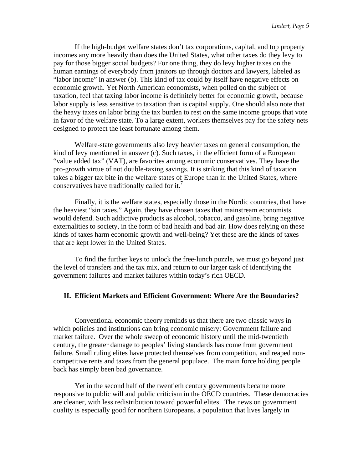If the high-budget welfare states don't tax corporations, capital, and top property incomes any more heavily than does the United States, what other taxes do they levy to pay for those bigger social budgets? For one thing, they do levy higher taxes on the human earnings of everybody from janitors up through doctors and lawyers, labeled as "labor income" in answer (b). This kind of tax could by itself have negative effects on economic growth. Yet North American economists, when polled on the subject of taxation, feel that taxing labor income is definitely better for economic growth, because labor supply is less sensitive to taxation than is capital supply. One should also note that the heavy taxes on labor bring the tax burden to rest on the same income groups that vote in favor of the welfare state. To a large extent, workers themselves pay for the safety nets designed to protect the least fortunate among them.

 Welfare-state governments also levy heavier taxes on general consumption, the kind of levy mentioned in answer (c). Such taxes, in the efficient form of a European "value added tax" (VAT), are favorites among economic conservatives. They have the pro-growth virtue of not double-taxing savings. It is striking that this kind of taxation takes a bigger tax bite in the welfare states of Europe than in the United States, where conservatives have traditionally called for it.<sup>7</sup>

 Finally, it is the welfare states, especially those in the Nordic countries, that have the heaviest "sin taxes." Again, they have chosen taxes that mainstream economists would defend. Such addictive products as alcohol, tobacco, and gasoline, bring negative externalities to society, in the form of bad health and bad air. How does relying on these kinds of taxes harm economic growth and well-being? Yet these are the kinds of taxes that are kept lower in the United States.

 To find the further keys to unlock the free-lunch puzzle, we must go beyond just the level of transfers and the tax mix, and return to our larger task of identifying the government failures and market failures within today's rich OECD.

#### **II. Efficient Markets and Efficient Government: Where Are the Boundaries?**

 Conventional economic theory reminds us that there are two classic ways in which policies and institutions can bring economic misery: Government failure and market failure. Over the whole sweep of economic history until the mid-twentieth century, the greater damage to peoples' living standards has come from government failure. Small ruling elites have protected themselves from competition, and reaped noncompetitive rents and taxes from the general populace. The main force holding people back has simply been bad governance.

 Yet in the second half of the twentieth century governments became more responsive to public will and public criticism in the OECD countries. These democracies are cleaner, with less redistribution toward powerful elites. The news on government quality is especially good for northern Europeans, a population that lives largely in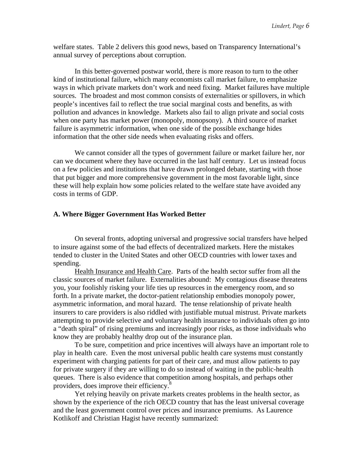welfare states. Table 2 delivers this good news, based on Transparency International's annual survey of perceptions about corruption.

 In this better-governed postwar world, there is more reason to turn to the other kind of institutional failure, which many economists call market failure, to emphasize ways in which private markets don't work and need fixing. Market failures have multiple sources. The broadest and most common consists of externalities or spillovers, in which people's incentives fail to reflect the true social marginal costs and benefits, as with pollution and advances in knowledge. Markets also fail to align private and social costs when one party has market power (monopoly, monopsony). A third source of market failure is asymmetric information, when one side of the possible exchange hides information that the other side needs when evaluating risks and offers.

 We cannot consider all the types of government failure or market failure her, nor can we document where they have occurred in the last half century. Let us instead focus on a few policies and institutions that have drawn prolonged debate, starting with those that put bigger and more comprehensive government in the most favorable light, since these will help explain how some policies related to the welfare state have avoided any costs in terms of GDP.

### **A. Where Bigger Government Has Worked Better**

 On several fronts, adopting universal and progressive social transfers have helped to insure against some of the bad effects of decentralized markets. Here the mistakes tended to cluster in the United States and other OECD countries with lower taxes and spending.

Health Insurance and Health Care. Parts of the health sector suffer from all the classic sources of market failure. Externalities abound: My contagious disease threatens you, your foolishly risking your life ties up resources in the emergency room, and so forth. In a private market, the doctor-patient relationship embodies monopoly power, asymmetric information, and moral hazard. The tense relationship of private health insurers to care providers is also riddled with justifiable mutual mistrust. Private markets attempting to provide selective and voluntary health insurance to individuals often go into a "death spiral" of rising premiums and increasingly poor risks, as those individuals who know they are probably healthy drop out of the insurance plan.

 To be sure, competition and price incentives will always have an important role to play in health care. Even the most universal public health care systems must constantly experiment with charging patients for part of their care, and must allow patients to pay for private surgery if they are willing to do so instead of waiting in the public-health queues. There is also evidence that competition among hospitals, and perhaps other providers, does improve their efficiency.8

 Yet relying heavily on private markets creates problems in the health sector, as shown by the experience of the rich OECD country that has the least universal coverage and the least government control over prices and insurance premiums. As Laurence Kotlikoff and Christian Hagist have recently summarized: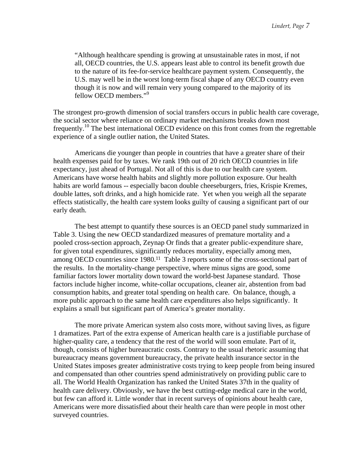"Although healthcare spending is growing at unsustainable rates in most, if not all, OECD countries, the U.S. appears least able to control its benefit growth due to the nature of its fee-for-service healthcare payment system. Consequently, the U.S. may well be in the worst long-term fiscal shape of any OECD country even though it is now and will remain very young compared to the majority of its fellow OECD members."<sup>9</sup>

The strongest pro-growth dimension of social transfers occurs in public health care coverage, the social sector where reliance on ordinary market mechanisms breaks down most frequently.10 The best international OECD evidence on this front comes from the regrettable experience of a single outlier nation, the United States.

Americans die younger than people in countries that have a greater share of their health expenses paid for by taxes. We rank 19th out of 20 rich OECD countries in life expectancy, just ahead of Portugal. Not all of this is due to our health care system. Americans have worse health habits and slightly more pollution exposure. Our health habits are world famous -- especially bacon double cheeseburgers, fries, Krispie Kremes, double lattes, soft drinks, and a high homicide rate. Yet when you weigh all the separate effects statistically, the health care system looks guilty of causing a significant part of our early death.

The best attempt to quantify these sources is an OECD panel study summarized in Table 3. Using the new OECD standardized measures of premature mortality and a pooled cross-section approach, Zeynap Or finds that a greater public-expenditure share, for given total expenditures, significantly reduces mortality, especially among men, among OECD countries since 1980.11 Table 3 reports some of the cross-sectional part of the results. In the mortality-change perspective, where minus signs are good, some familiar factors lower mortality down toward the world-best Japanese standard. Those factors include higher income, white-collar occupations, cleaner air, abstention from bad consumption habits, and greater total spending on health care. On balance, though, a more public approach to the same health care expenditures also helps significantly. It explains a small but significant part of America's greater mortality.

The more private American system also costs more, without saving lives, as figure 1 dramatizes. Part of the extra expense of American health care is a justifiable purchase of higher-quality care, a tendency that the rest of the world will soon emulate. Part of it, though, consists of higher bureaucratic costs. Contrary to the usual rhetoric assuming that bureaucracy means government bureaucracy, the private health insurance sector in the United States imposes greater administrative costs trying to keep people from being insured and compensated than other countries spend administratively on providing public care to all. The World Health Organization has ranked the United States 37th in the quality of health care delivery. Obviously, we have the best cutting-edge medical care in the world, but few can afford it. Little wonder that in recent surveys of opinions about health care, Americans were more dissatisfied about their health care than were people in most other surveyed countries.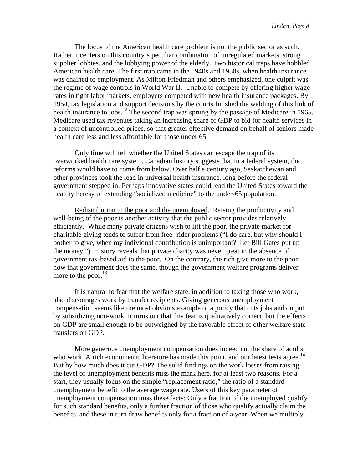The locus of the American health care problem is not the public sector as such. Rather it centers on this country's peculiar combination of unregulated markets, strong supplier lobbies, and the lobbying power of the elderly. Two historical traps have hobbled American health care. The first trap came in the 1940s and 1950s, when health insurance was chained to employment. As Milton Friedman and others emphasized, one culprit was the regime of wage controls in World War II. Unable to compete by offering higher wage rates in tight labor markets, employers competed with new health insurance packages. By 1954, tax legislation and support decisions by the courts finished the welding of this link of health insurance to jobs.<sup>12</sup> The second trap was sprung by the passage of Medicare in 1965. Medicare used tax revenues taking an increasing share of GDP to bid for health services in a context of uncontrolled prices, so that greater effective demand on behalf of seniors made health care less and less affordable for those under 65.

 Only time will tell whether the United States can escape the trap of its overworked health care system. Canadian history suggests that in a federal system, the reforms would have to come from below. Over half a century ago, Saskatchewan and other provinces took the lead in universal health insurance, long before the federal government stepped in. Perhaps innovative states could lead the United States toward the healthy heresy of extending "socialized medicine" to the under-65 population.

Redistribution to the poor and the unemployed. Raising the productivity and well-being of the poor is another activity that the public sector provides relatively efficiently. While many private citizens wish to lift the poor, the private market for charitable giving tends to suffer from free- rider problems ("I do care, but why should I bother to give, when my individual contribution is unimportant? Let Bill Gates put up the money.") History reveals that private charity was never great in the absence of government tax-based aid to the poor. On the contrary, the rich give more to the poor now that government does the same, though the government welfare programs deliver more to the poor. $^{13}$ 

 It is natural to fear that the welfare state, in addition to taxing those who work, also discourages work by transfer recipients. Giving generous unemployment compensation seems like the most obvious example of a policy that cuts jobs and output by subsidizing non-work. It turns out that this fear is qualitatively correct, but the effects on GDP are small enough to be outweighed by the favorable effect of other welfare state transfers on GDP.

 More generous unemployment compensation does indeed cut the share of adults who work. A rich econometric literature has made this point, and our latest tests agree.<sup>14</sup> But by how much does it cut GDP? The solid findings on the work losses from raising the level of unemployment benefits miss the mark here, for at least two reasons. For a start, they usually focus on the simple "replacement ratio," the ratio of a standard unemployment benefit to the average wage rate. Users of this key parameter of unemployment compensation miss these facts: Only a fraction of the unemployed qualify for such standard benefits, only a further fraction of those who qualify actually claim the benefits, and these in turn draw benefits only for a fraction of a year. When we multiply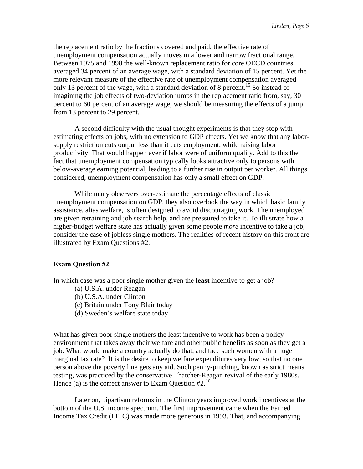the replacement ratio by the fractions covered and paid, the effective rate of unemployment compensation actually moves in a lower and narrow fractional range. Between 1975 and 1998 the well-known replacement ratio for core OECD countries averaged 34 percent of an average wage, with a standard deviation of 15 percent. Yet the more relevant measure of the effective rate of unemployment compensation averaged only 13 percent of the wage, with a standard deviation of 8 percent.<sup>15</sup> So instead of imagining the job effects of two-deviation jumps in the replacement ratio from, say, 30 percent to 60 percent of an average wage, we should be measuring the effects of a jump from 13 percent to 29 percent.

 A second difficulty with the usual thought experiments is that they stop with estimating effects on jobs, with no extension to GDP effects. Yet we know that any laborsupply restriction cuts output less than it cuts employment, while raising labor productivity. That would happen ever if labor were of uniform quality. Add to this the fact that unemployment compensation typically looks attractive only to persons with below-average earning potential, leading to a further rise in output per worker. All things considered, unemployment compensation has only a small effect on GDP.

 While many observers over-estimate the percentage effects of classic unemployment compensation on GDP, they also overlook the way in which basic family assistance, alias welfare, is often designed to avoid discouraging work. The unemployed are given retraining and job search help, and are pressured to take it. To illustrate how a higher-budget welfare state has actually given some people *more* incentive to take a job, consider the case of jobless single mothers. The realities of recent history on this front are illustrated by Exam Questions #2.

# **Exam Question #2**

In which case was a poor single mother given the **least** incentive to get a job?

- (a) U.S.A. under Reagan
- (b) U.S.A. under Clinton
- (c) Britain under Tony Blair today
- (d) Sweden's welfare state today

What has given poor single mothers the least incentive to work has been a policy environment that takes away their welfare and other public benefits as soon as they get a job. What would make a country actually do that, and face such women with a huge marginal tax rate? It is the desire to keep welfare expenditures very low, so that no one person above the poverty line gets any aid. Such penny-pinching, known as strict means testing, was practiced by the conservative Thatcher-Reagan revival of the early 1980s. Hence (a) is the correct answer to Exam Question  $#2.^{16}$ 

Later on, bipartisan reforms in the Clinton years improved work incentives at the bottom of the U.S. income spectrum. The first improvement came when the Earned Income Tax Credit (EITC) was made more generous in 1993. That, and accompanying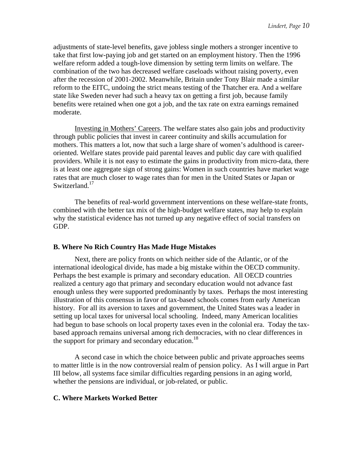adjustments of state-level benefits, gave jobless single mothers a stronger incentive to take that first low-paying job and get started on an employment history. Then the 1996 welfare reform added a tough-love dimension by setting term limits on welfare. The combination of the two has decreased welfare caseloads without raising poverty, even after the recession of 2001-2002. Meanwhile, Britain under Tony Blair made a similar reform to the EITC, undoing the strict means testing of the Thatcher era. And a welfare state like Sweden never had such a heavy tax on getting a first job, because family benefits were retained when one got a job, and the tax rate on extra earnings remained moderate.

Investing in Mothers' Careers. The welfare states also gain jobs and productivity through public policies that invest in career continuity and skills accumulation for mothers. This matters a lot, now that such a large share of women's adulthood is careeroriented. Welfare states provide paid parental leaves and public day care with qualified providers. While it is not easy to estimate the gains in productivity from micro-data, there is at least one aggregate sign of strong gains: Women in such countries have market wage rates that are much closer to wage rates than for men in the United States or Japan or Switzerland.<sup>17</sup>

 The benefits of real-world government interventions on these welfare-state fronts, combined with the better tax mix of the high-budget welfare states, may help to explain why the statistical evidence has not turned up any negative effect of social transfers on GDP.

#### **B. Where No Rich Country Has Made Huge Mistakes**

 Next, there are policy fronts on which neither side of the Atlantic, or of the international ideological divide, has made a big mistake within the OECD community. Perhaps the best example is primary and secondary education. All OECD countries realized a century ago that primary and secondary education would not advance fast enough unless they were supported predominantly by taxes. Perhaps the most interesting illustration of this consensus in favor of tax-based schools comes from early American history. For all its aversion to taxes and government, the United States was a leader in setting up local taxes for universal local schooling. Indeed, many American localities had begun to base schools on local property taxes even in the colonial era. Today the taxbased approach remains universal among rich democracies, with no clear differences in the support for primary and secondary education.<sup>18</sup>

 A second case in which the choice between public and private approaches seems to matter little is in the now controversial realm of pension policy. As I will argue in Part III below, all systems face similar difficulties regarding pensions in an aging world, whether the pensions are individual, or job-related, or public.

## **C. Where Markets Worked Better**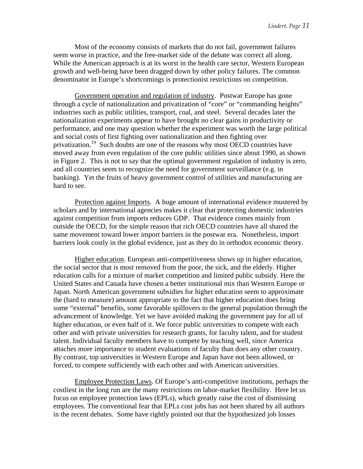Most of the economy consists of markets that do not fail, government failures seem worse in practice, and the free-market side of the debate was correct all along. While the American approach is at its worst in the health care sector, Western European growth and well-being have been dragged down by other policy failures. The common denominator in Europe's shortcomings is protectionist restrictions on competition.

Government operation and regulation of industry. Postwar Europe has gone through a cycle of nationalization and privatization of "core" or "commanding heights" industries such as public utilities, transport, coal, and steel. Several decades later the nationalization experiments appear to have brought no clear gains in productivity or performance, and one may question whether the experiment was worth the large political and social costs of first fighting over nationalization and then fighting over privatization.<sup>19</sup> Such doubts are one of the reasons why most OECD countries have moved away from even regulation of the core public utilities since about 1990, as shown in Figure 2. This is not to say that the optimal government regulation of industry is zero, and all countries seem to recognize the need for government surveillance (e.g. in banking). Yet the fruits of heavy government control of utilities and manufacturing are hard to see.

Protection against Imports. A huge amount of international evidence mustered by scholars and by international agencies makes it clear that protecting domestic industries against competition from imports reduces GDP. That evidence comes mainly from outside the OECD, for the simple reason that rich OECD countries have all shared the same movement toward lower import barriers in the postwar era. Nonetheless, import barriers look costly in the global evidence, just as they do in orthodox economic theory.

Higher education. European anti-competitiveness shows up in higher education, the social sector that is most removed from the poor, the sick, and the elderly. Higher education calls for a mixture of market competition and limited public subsidy. Here the United States and Canada have chosen a better institutional mix than Western Europe or Japan. North American government subsidies for higher education seem to approximate the (hard to measure) amount appropriate to the fact that higher education does bring some "external" benefits, some favorable spillovers to the general population through the advancement of knowledge. Yet we have avoided making the government pay for all of higher education, or even half of it. We force public universities to compete with each other and with private universities for research grants, for faculty talent, and for student talent. Individual faculty members have to compete by teaching well, since America attaches more importance to student evaluations of faculty than does any other country. By contrast, top universities in Western Europe and Japan have not been allowed, or forced, to compete sufficiently with each other and with American universities.

Employee Protection Laws. Of Europe's anti-competitive institutions, perhaps the costliest in the long run are the many restrictions on labor-market flexibility. Here let us focus on employee protection laws (EPLs), which greatly raise the cost of dismissing employees. The conventional fear that EPLs cost jobs has not been shared by all authors in the recent debates. Some have rightly pointed out that the hypothesized job losses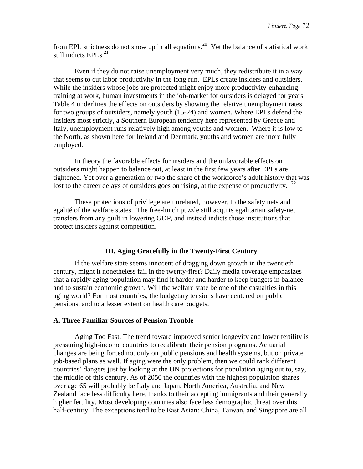from EPL strictness do not show up in all equations.<sup>20</sup> Yet the balance of statistical work still indicts  $EPLs.$ <sup>21</sup>

Even if they do not raise unemployment very much, they redistribute it in a way that seems to cut labor productivity in the long run. EPLs create insiders and outsiders. While the insiders whose jobs are protected might enjoy more productivity-enhancing training at work, human investments in the job-market for outsiders is delayed for years. Table 4 underlines the effects on outsiders by showing the relative unemployment rates for two groups of outsiders, namely youth (15-24) and women. Where EPLs defend the insiders most strictly, a Southern European tendency here represented by Greece and Italy, unemployment runs relatively high among youths and women. Where it is low to the North, as shown here for Ireland and Denmark, youths and women are more fully employed.

In theory the favorable effects for insiders and the unfavorable effects on outsiders might happen to balance out, at least in the first few years after EPLs are tightened. Yet over a generation or two the share of the workforce's adult history that was lost to the career delays of outsiders goes on rising, at the expense of productivity.  $22$ 

These protections of privilege are unrelated, however, to the safety nets and egalité of the welfare states. The free-lunch puzzle still acquits egalitarian safety-net transfers from any guilt in lowering GDP, and instead indicts those institutions that protect insiders against competition.

# **III. Aging Gracefully in the Twenty-First Century**

 If the welfare state seems innocent of dragging down growth in the twentieth century, might it nonetheless fail in the twenty-first? Daily media coverage emphasizes that a rapidly aging population may find it harder and harder to keep budgets in balance and to sustain economic growth. Will the welfare state be one of the casualties in this aging world? For most countries, the budgetary tensions have centered on public pensions, and to a lesser extent on health care budgets.

#### **A. Three Familiar Sources of Pension Trouble**

Aging Too Fast. The trend toward improved senior longevity and lower fertility is pressuring high-income countries to recalibrate their pension programs. Actuarial changes are being forced not only on public pensions and health systems, but on private job-based plans as well. If aging were the only problem, then we could rank different countries' dangers just by looking at the UN projections for population aging out to, say, the middle of this century. As of 2050 the countries with the highest population shares over age 65 will probably be Italy and Japan. North America, Australia, and New Zealand face less difficulty here, thanks to their accepting immigrants and their generally higher fertility. Most developing countries also face less demographic threat over this half-century. The exceptions tend to be East Asian: China, Taiwan, and Singapore are all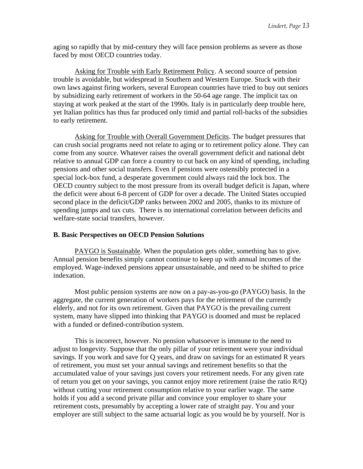aging so rapidly that by mid-century they will face pension problems as severe as those faced by most OECD countries today.

Asking for Trouble with Early Retirement Policy. A second source of pension trouble is avoidable, but widespread in Southern and Western Europe. Stuck with their own laws against firing workers, several European countries have tried to buy out seniors by subsidizing early retirement of workers in the 50-64 age range. The implicit tax on staying at work peaked at the start of the 1990s. Italy is in particularly deep trouble here, yet Italian politics has thus far produced only timid and partial roll-backs of the subsidies to early retirement.

Asking for Trouble with Overall Government Deficits. The budget pressures that can crush social programs need not relate to aging or to retirement policy alone. They can come from any source. Whatever raises the overall government deficit and national debt relative to annual GDP can force a country to cut back on any kind of spending, including pensions and other social transfers. Even if pensions were ostensibly protected in a special lock-box fund, a desperate government could always raid the lock box. The OECD country subject to the most pressure from its overall budget deficit is Japan, where the deficit were about 6-8 percent of GDP for over a decade. The United States occupied second place in the deficit/GDP ranks between 2002 and 2005, thanks to its mixture of spending jumps and tax cuts. There is no international correlation between deficits and welfare-state social transfers, however.

#### **B. Basic Perspectives on OECD Pension Solutions**

PAYGO is Sustainable*.* When the population gets older, something has to give. Annual pension benefits simply cannot continue to keep up with annual incomes of the employed. Wage-indexed pensions appear unsustainable, and need to be shifted to price indexation.

Most public pension systems are now on a pay-as-you-go (PAYGO) basis. In the aggregate, the current generation of workers pays for the retirement of the currently elderly, and not for its own retirement. Given that PAYGO is the prevailing current system, many have slipped into thinking that PAYGO is doomed and must be replaced with a funded or defined-contribution system.

This is incorrect, however. No pension whatsoever is immune to the need to adjust to longevity. Suppose that the only pillar of your retirement were your individual savings. If you work and save for Q years, and draw on savings for an estimated R years of retirement, you must set your annual savings and retirement benefits so that the accumulated value of your savings just covers your retirement needs. For any given rate of return you get on your savings, you cannot enjoy more retirement (raise the ratio R/Q) without cutting your retirement consumption relative to your earlier wage. The same holds if you add a second private pillar and convince your employer to share your retirement costs, presumably by accepting a lower rate of straight pay. You and your employer are still subject to the same actuarial logic as you would be by yourself. Nor is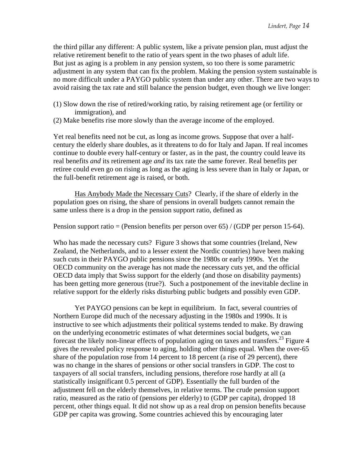the third pillar any different: A public system, like a private pension plan, must adjust the relative retirement benefit to the ratio of years spent in the two phases of adult life. But just as aging is a problem in any pension system, so too there is some parametric adjustment in any system that can fix the problem. Making the pension system sustainable is no more difficult under a PAYGO public system than under any other. There are two ways to avoid raising the tax rate and still balance the pension budget, even though we live longer:

- (1) Slow down the rise of retired/working ratio, by raising retirement age (or fertility or immigration), and
- (2) Make benefits rise more slowly than the average income of the employed.

Yet real benefits need not be cut, as long as income grows. Suppose that over a halfcentury the elderly share doubles, as it threatens to do for Italy and Japan. If real incomes continue to double every half-century or faster, as in the past, the country could leave its real benefits *and* its retirement age *and* its tax rate the same forever. Real benefits per retiree could even go on rising as long as the aging is less severe than in Italy or Japan, or the full-benefit retirement age is raised, or both.

Has Anybody Made the Necessary Cuts? Clearly, if the share of elderly in the population goes on rising, the share of pensions in overall budgets cannot remain the same unless there is a drop in the pension support ratio, defined as

Pension support ratio = (Pension benefits per person over 65) / (GDP per person 15-64).

Who has made the necessary cuts? Figure 3 shows that some countries (Ireland, New Zealand, the Netherlands, and to a lesser extent the Nordic countries) have been making such cuts in their PAYGO public pensions since the 1980s or early 1990s. Yet the OECD community on the average has not made the necessary cuts yet, and the official OECD data imply that Swiss support for the elderly (and those on disability payments) has been getting more generous (true?). Such a postponement of the inevitable decline in relative support for the elderly risks disturbing public budgets and possibly even GDP.

 Yet PAYGO pensions can be kept in equilibrium. In fact, several countries of Northern Europe did much of the necessary adjusting in the 1980s and 1990s. It is instructive to see which adjustments their political systems tended to make. By drawing on the underlying econometric estimates of what determines social budgets, we can forecast the likely non-linear effects of population aging on taxes and transfers.<sup>23</sup> Figure 4 gives the revealed policy response to aging, holding other things equal. When the over-65 share of the population rose from 14 percent to 18 percent (a rise of 29 percent), there was no change in the shares of pensions or other social transfers in GDP. The cost to taxpayers of all social transfers, including pensions, therefore rose hardly at all (a statistically insignificant 0.5 percent of GDP). Essentially the full burden of the adjustment fell on the elderly themselves, in relative terms. The crude pension support ratio, measured as the ratio of (pensions per elderly) to (GDP per capita), dropped 18 percent, other things equal. It did not show up as a real drop on pension benefits because GDP per capita was growing. Some countries achieved this by encouraging later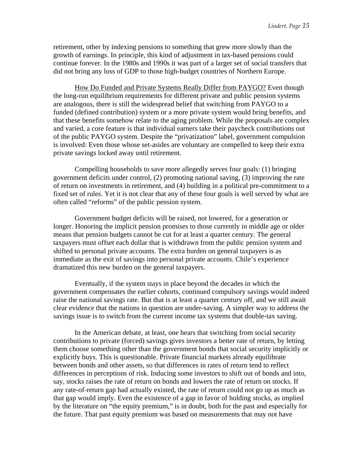retirement, other by indexing pensions to something that grew more slowly than the growth of earnings. In principle, this kind of adjustment in tax-based pensions could continue forever. In the 1980s and 1990s it was part of a larger set of social transfers that did not bring any loss of GDP to those high-budget countries of Northern Europe.

How Do Funded and Private Systems Really Differ from PAYGO? Even though the long-run equilibrium requirements for different private and public pension systems are analogous, there is still the widespread belief that switching from PAYGO to a funded (defined contribution) system or a more private system would bring benefits, and that these benefits somehow relate to the aging problem. While the proposals are complex and varied, a core feature is that individual earners take their paycheck contributions out of the public PAYGO system. Despite the "privatization" label, government compulsion is involved: Even those whose set-asides are voluntary are compelled to keep their extra private savings locked away until retirement.

Compelling households to save more allegedly serves four goals: (1) bringing government deficits under control, (2) promoting national saving, (3) improving the rate of return on investments in retirement, and (4) building in a political pre-commitment to a fixed set of rules. Yet it is not clear that any of these four goals is well served by what are often called "reforms" of the public pension system.

Government budget deficits will be raised, not lowered, for a generation or longer. Honoring the implicit pension promises to those currently in middle age or older means that pension budgets cannot be cut for at least a quarter century. The general taxpayers must offset each dollar that is withdrawn from the public pension system and shifted to personal private accounts. The extra burden on general taxpayers is as immediate as the exit of savings into personal private accounts. Chile's experience dramatized this new burden on the general taxpayers.

Eventually, if the system stays in place beyond the decades in which the government compensates the earlier cohorts, continued compulsory savings would indeed raise the national savings rate. But that is at least a quarter century off, and we still await clear evidence that the nations in question are under-saving. A simpler way to address the savings issue is to switch from the current income tax systems that double-tax saving.

In the American debate, at least, one hears that switching from social security contributions to private (forced) savings gives investors a better rate of return, by letting them choose something other than the government bonds that social security implicitly or explicitly buys. This is questionable. Private financial markets already equilibrate between bonds and other assets, so that differences in rates of return tend to reflect differences in perceptions of risk. Inducing some investors to shift out of bonds and into, say, stocks raises the rate of return on bonds and lowers the rate of return on stocks. If any rate-of-return gap had actually existed, the rate of return could not go up as much as that gap would imply. Even the existence of a gap in favor of holding stocks, as implied by the literature on "the equity premium," is in doubt, both for the past and especially for the future. That past equity premium was based on measurements that may not have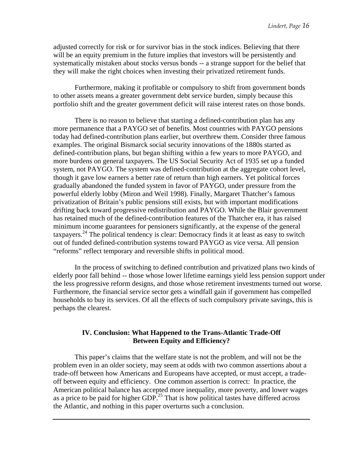adjusted correctly for risk or for survivor bias in the stock indices. Believing that there will be an equity premium in the future implies that investors will be persistently and systematically mistaken about stocks versus bonds -- a strange support for the belief that they will make the right choices when investing their privatized retirement funds.

Furthermore, making it profitable or compulsory to shift from government bonds to other assets means a greater government debt service burden, simply because this portfolio shift and the greater government deficit will raise interest rates on those bonds.

There is no reason to believe that starting a defined-contribution plan has any more permanence that a PAYGO set of benefits. Most countries with PAYGO pensions today had defined-contribution plans earlier, but overthrew them. Consider three famous examples. The original Bismarck social security innovations of the 1880s started as defined-contribution plans, but began shifting within a few years to more PAYGO, and more burdens on general taxpayers. The US Social Security Act of 1935 set up a funded system, not PAYGO. The system was defined-contribution at the aggregate cohort level, though it gave low earners a better rate of return than high earners. Yet political forces gradually abandoned the funded system in favor of PAYGO, under pressure from the powerful elderly lobby (Miron and Weil 1998). Finally, Margaret Thatcher's famous privatization of Britain's public pensions still exists, but with important modifications drifting back toward progressive redistribution and PAYGO. While the Blair government has retained much of the defined-contribution features of the Thatcher era, it has raised minimum income guarantees for pensioners significantly, at the expense of the general taxpayers.<sup>24</sup> The political tendency is clear: Democracy finds it at least as easy to switch out of funded defined-contribution systems toward PAYGO as vice versa. All pension "reforms" reflect temporary and reversible shifts in political mood.

In the process of switching to defined contribution and privatized plans two kinds of elderly poor fall behind -- those whose lower lifetime earnings yield less pension support under the less progressive reform designs, and those whose retirement investments turned out worse. Furthermore, the financial service sector gets a windfall gain if government has compelled households to buy its services. Of all the effects of such compulsory private savings, this is perhaps the clearest.

# **IV. Conclusion: What Happened to the Trans-Atlantic Trade-Off Between Equity and Efficiency?**

 This paper's claims that the welfare state is not the problem, and will not be the problem even in an older society, may seem at odds with two common assertions about a trade-off between how Americans and Europeans have accepted, or must accept, a tradeoff between equity and efficiency. One common assertion is correct: In practice, the American political balance has accepted more inequality, more poverty, and lower wages as a price to be paid for higher GDP.<sup>25</sup> That is how political tastes have differed across the Atlantic, and nothing in this paper overturns such a conclusion.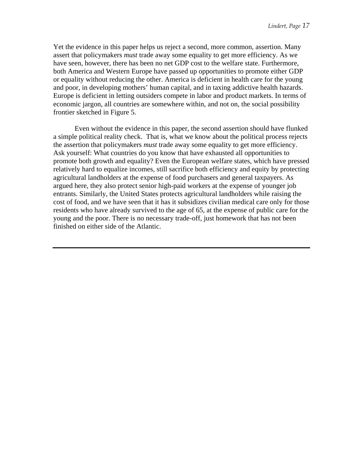Yet the evidence in this paper helps us reject a second, more common, assertion. Many assert that policymakers *must* trade away some equality to get more efficiency. As we have seen, however, there has been no net GDP cost to the welfare state. Furthermore, both America and Western Europe have passed up opportunities to promote either GDP or equality without reducing the other. America is deficient in health care for the young and poor, in developing mothers' human capital, and in taxing addictive health hazards. Europe is deficient in letting outsiders compete in labor and product markets. In terms of economic jargon, all countries are somewhere within, and not on, the social possibility frontier sketched in Figure 5.

 Even without the evidence in this paper, the second assertion should have flunked a simple political reality check. That is, what we know about the political process rejects the assertion that policymakers *must* trade away some equality to get more efficiency. Ask yourself: What countries do you know that have exhausted all opportunities to promote both growth and equality? Even the European welfare states, which have pressed relatively hard to equalize incomes, still sacrifice both efficiency and equity by protecting agricultural landholders at the expense of food purchasers and general taxpayers. As argued here, they also protect senior high-paid workers at the expense of younger job entrants. Similarly, the United States protects agricultural landholders while raising the cost of food, and we have seen that it has it subsidizes civilian medical care only for those residents who have already survived to the age of 65, at the expense of public care for the young and the poor. There is no necessary trade-off, just homework that has not been finished on either side of the Atlantic.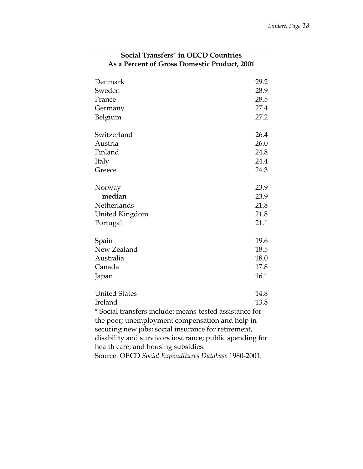| <b>Social Transfers* in OECD Countries</b>              |      |  |  |  |  |
|---------------------------------------------------------|------|--|--|--|--|
| As a Percent of Gross Domestic Product, 2001            |      |  |  |  |  |
|                                                         |      |  |  |  |  |
| Denmark                                                 | 29.2 |  |  |  |  |
| Sweden                                                  | 28.9 |  |  |  |  |
| France                                                  | 28.5 |  |  |  |  |
| Germany                                                 | 27.4 |  |  |  |  |
| Belgium                                                 | 27.2 |  |  |  |  |
| Switzerland                                             | 26.4 |  |  |  |  |
| Austria                                                 | 26.0 |  |  |  |  |
| Finland                                                 | 24.8 |  |  |  |  |
| Italy                                                   | 24.4 |  |  |  |  |
| Greece                                                  | 24.3 |  |  |  |  |
| Norway                                                  | 23.9 |  |  |  |  |
| median                                                  | 23.9 |  |  |  |  |
| Netherlands                                             | 21.8 |  |  |  |  |
| United Kingdom                                          | 21.8 |  |  |  |  |
| Portugal                                                | 21.1 |  |  |  |  |
|                                                         |      |  |  |  |  |
| Spain                                                   | 19.6 |  |  |  |  |
| New Zealand                                             | 18.5 |  |  |  |  |
| Australia                                               | 18.0 |  |  |  |  |
| Canada                                                  | 17.8 |  |  |  |  |
| Japan                                                   | 16.1 |  |  |  |  |
|                                                         |      |  |  |  |  |
| <b>United States</b>                                    | 14.8 |  |  |  |  |
| Ireland                                                 | 13.8 |  |  |  |  |
| * Social transfers include: means-tested assistance for |      |  |  |  |  |
| the poor; unemployment compensation and help in         |      |  |  |  |  |
| securing new jobs; social insurance for retirement,     |      |  |  |  |  |
| disability and survivors insurance; public spending for |      |  |  |  |  |
| health care; and housing subsidies.                     |      |  |  |  |  |
| Source: OECD Social Expenditures Database 1980-2001.    |      |  |  |  |  |
|                                                         |      |  |  |  |  |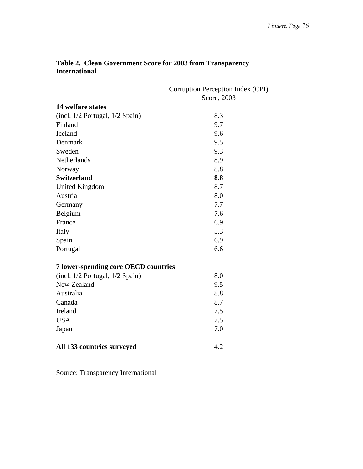$(CPI)$ 

|                                      | <b>Corruption Perception Index</b> |  |  |
|--------------------------------------|------------------------------------|--|--|
|                                      | Score, 2003                        |  |  |
| 14 welfare states                    |                                    |  |  |
| $(incl. 1/2$ Portugal, $1/2$ Spain)  | <u>8.3</u>                         |  |  |
| Finland                              | 9.7                                |  |  |
| Iceland                              | 9.6                                |  |  |
| Denmark                              | 9.5                                |  |  |
| Sweden                               | 9.3                                |  |  |
| Netherlands                          | 8.9                                |  |  |
| Norway                               | 8.8                                |  |  |
| <b>Switzerland</b>                   | 8.8                                |  |  |
| <b>United Kingdom</b>                | 8.7                                |  |  |
| Austria                              | 8.0                                |  |  |
| Germany                              | 7.7                                |  |  |
| Belgium                              | 7.6                                |  |  |
| France                               | 6.9                                |  |  |
| Italy                                | 5.3                                |  |  |
| Spain                                | 6.9                                |  |  |
| Portugal                             | 6.6                                |  |  |
| 7 lower-spending core OECD countries |                                    |  |  |
| (incl. 1/2 Portugal, 1/2 Spain)      | 8.0                                |  |  |
| New Zealand                          | 9.5                                |  |  |
| Australia                            | 8.8                                |  |  |
| Canada                               | 8.7                                |  |  |
| Ireland                              | 7.5                                |  |  |
| <b>USA</b>                           | 7.5                                |  |  |
| Japan                                | 7.0                                |  |  |
| All 133 countries surveyed           | 4.2                                |  |  |

# **Table 2. Clean Government Score for 2003 from Transparency International**

Source: Transparency International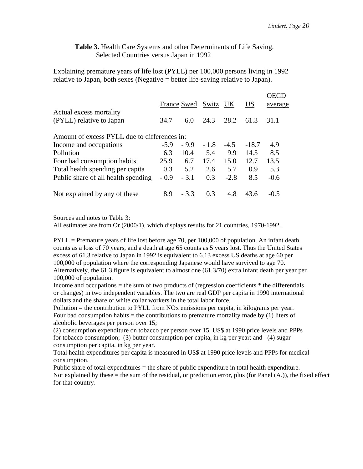# **Table 3.** Health Care Systems and other Determinants of Life Saving, Selected Countries versus Japan in 1992

Explaining premature years of life lost (PYLL) per 100,000 persons living in 1992 relative to Japan, both sexes (Negative = better life-saving relative to Japan).

|                                              |        |        |                    | US       | average |  |  |  |  |
|----------------------------------------------|--------|--------|--------------------|----------|---------|--|--|--|--|
| 34.7                                         | 6.0    | 24.3   | 28.2               | 61.3     | 31.1    |  |  |  |  |
| Amount of excess PYLL due to differences in: |        |        |                    |          |         |  |  |  |  |
| $-5.9$                                       | $-9.9$ | $-1.8$ | $-4.5$             | $-18.7$  | 4.9     |  |  |  |  |
| 6.3                                          | 10.4   | 5.4    | 9.9                | 14.5     | 8.5     |  |  |  |  |
| 25.9                                         | 6.7    | 17.4   | 15.0               | 12.7     | 13.5    |  |  |  |  |
| 0.3                                          | 5.2    | 2.6    | 5.7                | 0.9      | 5.3     |  |  |  |  |
| $-0.9$                                       | $-3.1$ | 0.3    | $-2.8$             | 8.5      | $-0.6$  |  |  |  |  |
| 8.9                                          | $-3.3$ | 0.3    | 4.8                | 43.6     | $-0.5$  |  |  |  |  |
|                                              |        |        | <b>France Swed</b> | Switz UK |         |  |  |  |  |

Sources and notes to Table 3:

All estimates are from Or (2000/1), which displays results for 21 countries, 1970-1992.

PYLL = Premature years of life lost before age 70, per 100,000 of population. An infant death counts as a loss of 70 years, and a death at age 65 counts as 5 years lost. Thus the United States excess of 61.3 relative to Japan in 1992 is equivalent to 6.13 excess US deaths at age 60 per 100,000 of population where the corresponding Japanese would have survived to age 70. Alternatively, the 61.3 figure is equivalent to almost one (61.3/70) extra infant death per year per 100,000 of population.

Income and occupations = the sum of two products of (regression coefficients \* the differentials or changes) in two independent variables. The two are real GDP per capita in 1990 international dollars and the share of white collar workers in the total labor force.

Pollution = the contribution to PYLL from NOx emissions per capita, in kilograms per year. Four bad consumption habits  $=$  the contributions to premature mortality made by  $(1)$  liters of alcoholic beverages per person over 15;

(2) consumption expenditure on tobacco per person over 15, US\$ at 1990 price levels and PPPs for tobacco consumption; (3) butter consumption per capita, in kg per year; and (4) sugar consumption per capita, in kg per year.

Total health expenditures per capita is measured in US\$ at 1990 price levels and PPPs for medical consumption.

Public share of total expenditures = the share of public expenditure in total health expenditure. Not explained by these  $=$  the sum of the residual, or prediction error, plus (for Panel  $(A)$ ), the fixed effect for that country.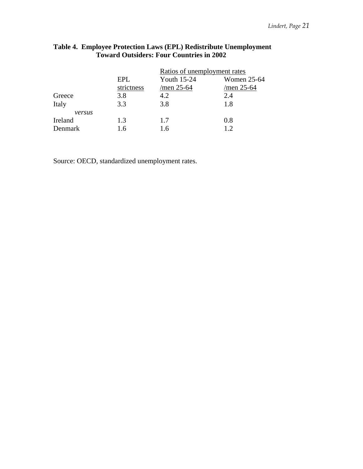|         |            | Ratios of unemployment rates |                    |  |  |
|---------|------------|------------------------------|--------------------|--|--|
|         | <b>EPL</b> | Youth 15-24                  | <b>Women 25-64</b> |  |  |
|         | strictness | /men $25-64$                 | /men 25-64         |  |  |
| Greece  | 3.8        | 4.2                          | 2.4                |  |  |
| Italy   | 3.3        | 3.8                          | 1.8                |  |  |
| versus  |            |                              |                    |  |  |
| Ireland | 1.3        | 1.7                          | 0.8                |  |  |
| Denmark | 1.6        | 1.6                          |                    |  |  |

# **Table 4. Employee Protection Laws (EPL) Redistribute Unemployment Toward Outsiders: Four Countries in 2002**

Source: OECD, standardized unemployment rates.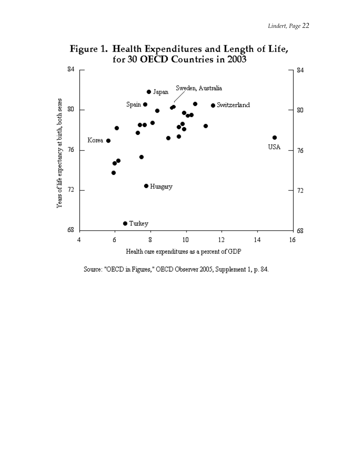

Figure 1. Health Expenditures and Length of Life, for 30 OECD Countries in 2003

Source: "OECD in Figures," OECD Observer 2005, Supplement 1, p. 84.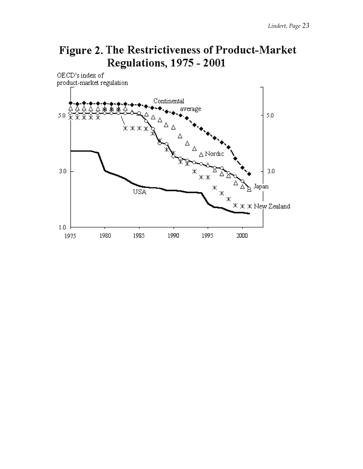# Figure 2. The Restrictiveness of Product-Market **Regulations, 1975 - 2001**

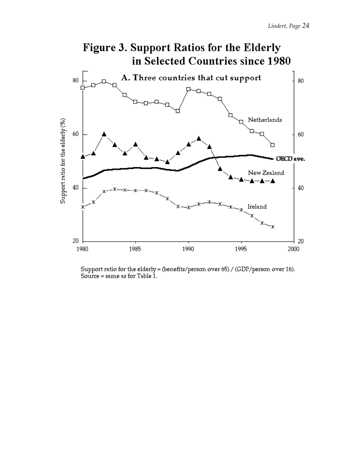

Support ratio for the elderly = (benefits/person over 65) / (GDP/person over 16). Source = same as for Table  $1$ .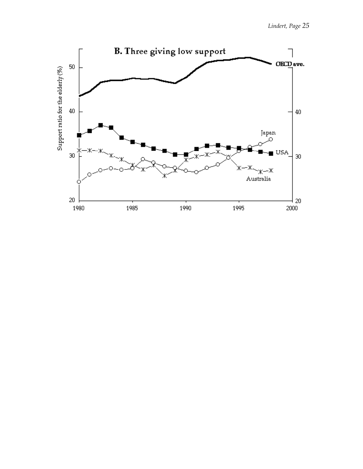*Lindert, Page 25*

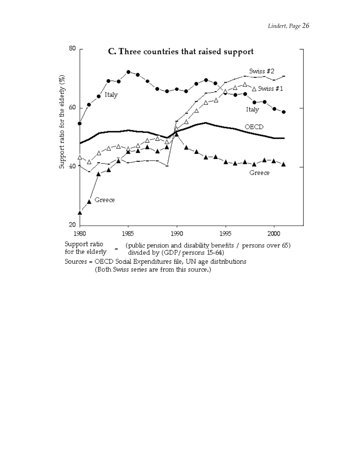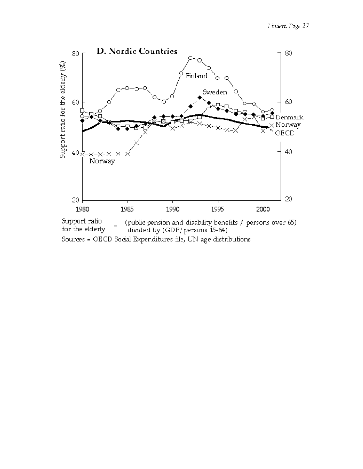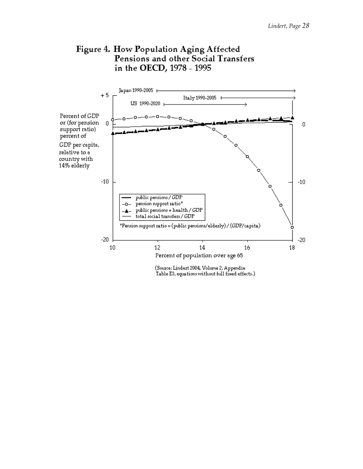

# Figure 4. How Population Aging Affected Pensions and other Social Transfers in the OECD, 1978 - 1995

Table E3, equations without full fixed effects.)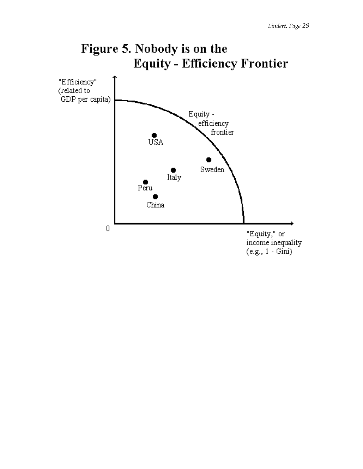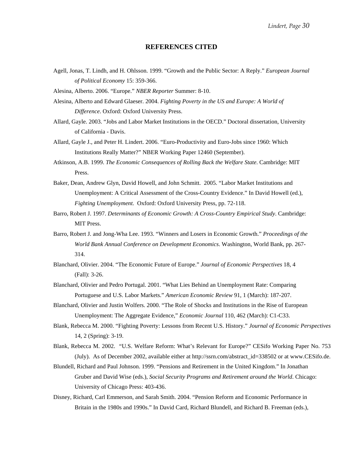*Lindert, Page 30*

#### **REFERENCES CITED**

- Agell, Jonas, T. Lindh, and H. Ohlsson. 1999. "Growth and the Public Sector: A Reply." *European Journal of Political Economy* 15: 359-366.
- Alesina, Alberto. 2006. "Europe." *NBER Reporter* Summer: 8-10.
- Alesina, Alberto and Edward Glaeser. 2004. *Fighting Poverty in the US and Europe: A World of Difference*. Oxford: Oxford University Press.
- Allard, Gayle. 2003. "Jobs and Labor Market Institutions in the OECD." Doctoral dissertation, University of California - Davis.
- Allard, Gayle J., and Peter H. Lindert. 2006. "Euro-Productivity and Euro-Jobs since 1960: Which Institutions Really Matter?" NBER Working Paper 12460 (September).
- Atkinson, A.B. 1999. *The Economic Consequences of Rolling Back the Welfare State*. Cambridge: MIT Press.
- Baker, Dean, Andrew Glyn, David Howell, and John Schmitt. 2005. "Labor Market Institutions and Unemployment: A Critical Assessment of the Cross-Country Evidence." In David Howell (ed.), *Fighting Unemployment*. Oxford: Oxford University Press, pp. 72-118.
- Barro, Robert J. 1997. *Determinants of Economic Growth: A Cross-Country Empirical Study*. Cambridge: MIT Press.
- Barro, Robert J. and Jong-Wha Lee. 1993. "Winners and Losers in Economic Growth." *Proceedings of the World Bank Annual Conference on Development Economics*. Washington, World Bank, pp. 267- 314.
- Blanchard, Olivier. 2004. "The Economic Future of Europe." *Journal of Economic Perspectives* 18, 4 (Fall): 3-26.
- Blanchard, Olivier and Pedro Portugal. 2001. "What Lies Behind an Unemployment Rate: Comparing Portuguese and U.S. Labor Markets." *American Economic Review* 91, 1 (March): 187-207.
- Blanchard, Olivier and Justin Wolfers. 2000. "The Role of Shocks and Institutions in the Rise of European Unemployment: The Aggregate Evidence," *Economic Journal* 110, 462 (March): C1-C33.
- Blank, Rebecca M. 2000. "Fighting Poverty: Lessons from Recent U.S. History." *Journal of Economic Perspectives* 14, 2 (Spring): 3-19.
- Blank, Rebecca M. 2002. "U.S. Welfare Reform: What's Relevant for Europe?" CESifo Working Paper No. 753 (July). As of December 2002, available either at http://ssrn.com/abstract\_id=338502 or at www.CESifo.de.
- Blundell, Richard and Paul Johnson. 1999. "Pensions and Retirement in the United Kingdom." In Jonathan Gruber and David Wise (eds.), *Social Security Programs and Retirement around the World*. Chicago: University of Chicago Press: 403-436.
- Disney, Richard, Carl Emmerson, and Sarah Smith. 2004. "Pension Reform and Economic Performance in Britain in the 1980s and 1990s." In David Card, Richard Blundell, and Richard B. Freeman (eds.),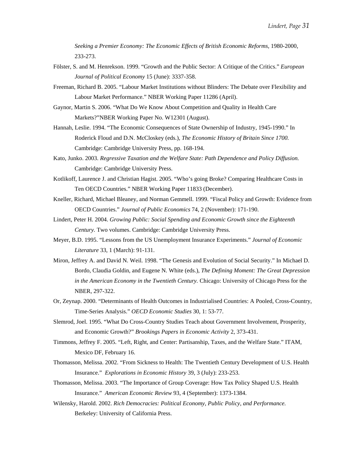Seeking a Premier Economy: The Economic Effects of British Economic Reforms, 1980-2000, 233-273.

- Fölster, S. and M. Henrekson. 1999. "Growth and the Public Sector: A Critique of the Critics." *European Journal of Political Economy* 15 (June): 3337-358.
- Freeman, Richard B. 2005. "Labour Market Institutions without Blinders: The Debate over Flexibility and Labour Market Performance." NBER Working Paper 11286 (April).
- Gaynor, Martin S. 2006. "What Do We Know About Competition and Quality in Health Care Markets?"NBER Working Paper No. W12301 (August).
- Hannah, Leslie. 1994. "The Economic Consequences of State Ownership of Industry, 1945-1990." In Roderick Floud and D.N. McCloskey (eds.), *The Economic History of Britain Since 1700.* Cambridge: Cambridge University Press, pp. 168-194.
- Kato, Junko. 2003. *Regressive Taxation and the Welfare State: Path Dependence and Policy Diffusion.* Cambridge: Cambridge University Press.
- Kotlikoff, Laurence J. and Christian Hagist. 2005. "Who's going Broke? Comparing Healthcare Costs in Ten OECD Countries." NBER Working Paper 11833 (December).
- Kneller, Richard, Michael Bleaney, and Norman Gemmell. 1999. "Fiscal Policy and Growth: Evidence from OECD Countries." *Journal of Public Economics* 74, 2 (November): 171-190.
- Lindert, Peter H. 2004. *Growing Public: Social Spending and Economic Growth since the Eighteenth Century.* Two volumes. Cambridge: Cambridge University Press.
- Meyer, B.D. 1995. "Lessons from the US Unemployment Insurance Experiments." *Journal of Economic Literature* 33, 1 (March): 91-131.
- Miron, Jeffrey A. and David N. Weil. 1998. "The Genesis and Evolution of Social Security." In Michael D. Bordo, Claudia Goldin, and Eugene N. White (eds.), *The Defining Moment: The Great Depression in the American Economy in the Twentieth Century.* Chicago: University of Chicago Press for the NBER, 297-322.
- Or, Zeynap. 2000. "Determinants of Health Outcomes in Industrialised Countries: A Pooled, Cross-Country, Time-Series Analysis." *OECD Economic Studies* 30, 1: 53-77.
- Slemrod, Joel. 1995. "What Do Cross-Country Studies Teach about Government Involvement, Prosperity, and Economic Growth?" *Brookings Papers in Economic Activity* 2, 373-431.
- Timmons, Jeffrey F. 2005. "Left, Right, and Center: Partisanship, Taxes, and the Welfare State." ITAM, Mexico DF, February 16.
- Thomasson, Melissa. 2002. "From Sickness to Health: The Twentieth Century Development of U.S. Health Insurance." *Explorations in Economic History* 39, 3 (July): 233-253.
- Thomasson, Melissa. 2003. "The Importance of Group Coverage: How Tax Policy Shaped U.S. Health Insurance." *American Economic Review* 93, 4 (September): 1373-1384.
- Wilensky, Harold. 2002. *Rich Democracies: Political Economy, Public Policy, and Performance.* Berkeley: University of California Press.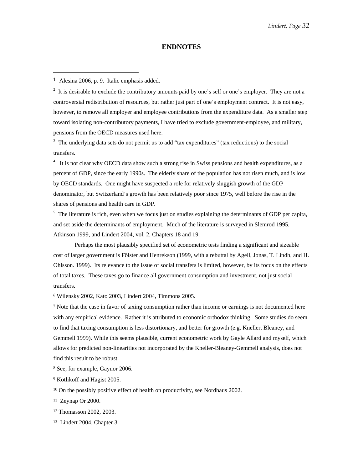#### **ENDNOTES**

<sup>1</sup> Alesina 2006, p. 9. Italic emphasis added.

-

<sup>2</sup> It is desirable to exclude the contributory amounts paid by one's self or one's employer. They are not a controversial redistribution of resources, but rather just part of one's employment contract. It is not easy, however, to remove all employer and employee contributions from the expenditure data. As a smaller step toward isolating non-contributory payments, I have tried to exclude government-employee, and military, pensions from the OECD measures used here.

 $3$  The underlying data sets do not permit us to add "tax expenditures" (tax reductions) to the social transfers.

<sup>4</sup> It is not clear why OECD data show such a strong rise in Swiss pensions and health expenditures, as a percent of GDP, since the early 1990s. The elderly share of the population has not risen much, and is low by OECD standards. One might have suspected a role for relatively sluggish growth of the GDP denominator, but Switzerland's growth has been relatively poor since 1975, well before the rise in the shares of pensions and health care in GDP.

 $<sup>5</sup>$  The literature is rich, even when we focus just on studies explaining the determinants of GDP per capita,</sup> and set aside the determinants of employment. Much of the literature is surveyed in Slemrod 1995, Atkinson 1999, and Lindert 2004, vol. 2, Chapters 18 and 19.

Perhaps the most plausibly specified set of econometric tests finding a significant and sizeable cost of larger government is Fölster and Henrekson (1999, with a rebuttal by Agell, Jonas, T. Lindh, and H. Ohlsson. 1999). Its relevance to the issue of social transfers is limited, however, by its focus on the effects of total taxes. These taxes go to finance all government consumption and investment, not just social transfers.

<sup>6</sup> Wilensky 2002, Kato 2003, Lindert 2004, Timmons 2005.

<sup>7</sup> Note that the case in favor of taxing consumption rather than income or earnings is not documented here with any empirical evidence. Rather it is attributed to economic orthodox thinking. Some studies do seem to find that taxing consumption is less distortionary, and better for growth (e.g. Kneller, Bleaney, and Gemmell 1999). While this seems plausible, current econometric work by Gayle Allard and myself, which allows for predicted non-linearities not incorporated by the Kneller-Bleaney-Gemmell analysis, does not find this result to be robust.

<sup>8</sup> See, for example, Gaynor 2006.

<sup>9</sup> Kotlikoff and Hagist 2005.

<sup>10</sup> On the possibly positive effect of health on productivity, see Nordhaus 2002.

<sup>11</sup> Zeynap Or 2000.

<sup>12</sup> Thomasson 2002, 2003.

13 Lindert 2004, Chapter 3.